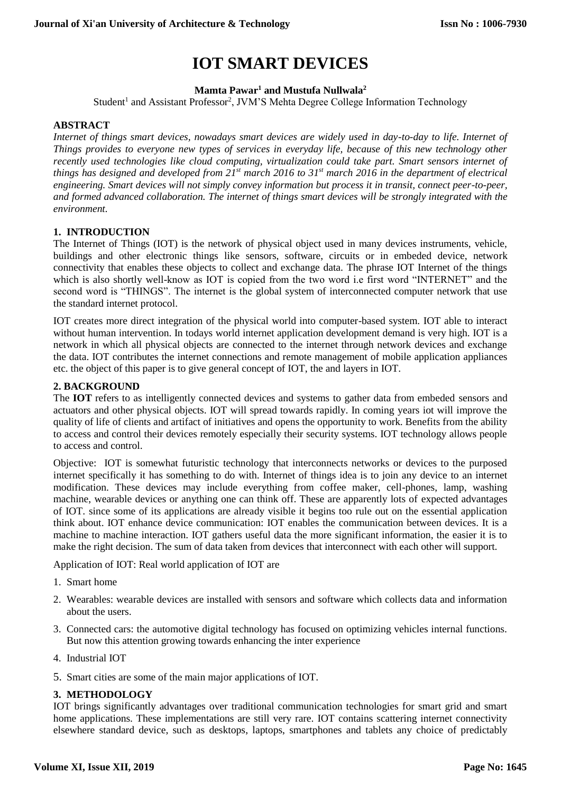# **IOT SMART DEVICES**

**Mamta Pawar<sup>1</sup> and Mustufa Nullwala<sup>2</sup>**

Student<sup>1</sup> and Assistant Professor<sup>2</sup>, JVM'S Mehta Degree College Information Technology

### **ABSTRACT**

*Internet of things smart devices, nowadays smart devices are widely used in day-to-day to life. Internet of Things provides to everyone new types of services in everyday life, because of this new technology other recently used technologies like cloud computing, virtualization could take part. Smart sensors internet of things has designed and developed from 21st march 2016 to 31st march 2016 in the department of electrical engineering. Smart devices will not simply convey information but process it in transit, connect peer-to-peer, and formed advanced collaboration. The internet of things smart devices will be strongly integrated with the environment.*

### **1. INTRODUCTION**

The Internet of Things (IOT) is the network of physical object used in many devices instruments, vehicle, buildings and other electronic things like sensors, software, circuits or in embeded device, network connectivity that enables these objects to collect and exchange data. The phrase IOT Internet of the things which is also shortly well-know as IOT is copied from the two word i.e first word "INTERNET" and the second word is "THINGS". The internet is the global system of interconnected computer network that use the standard internet protocol.

IOT creates more direct integration of the physical world into computer-based system. IOT able to interact without human intervention. In todays world internet application development demand is very high. IOT is a network in which all physical objects are connected to the internet through network devices and exchange the data. IOT contributes the internet connections and remote management of mobile application appliances etc. the object of this paper is to give general concept of IOT, the and layers in IOT.

## **2. BACKGROUND**

The **IOT** refers to as intelligently connected devices and systems to gather data from embeded sensors and actuators and other physical objects. IOT will spread towards rapidly. In coming years iot will improve the quality of life of clients and artifact of initiatives and opens the opportunity to work. Benefits from the ability to access and control their devices remotely especially their security systems. IOT technology allows people to access and control.

Objective: IOT is somewhat futuristic technology that interconnects networks or devices to the purposed internet specifically it has something to do with. Internet of things idea is to join any device to an internet modification. These devices may include everything from coffee maker, cell-phones, lamp, washing machine, wearable devices or anything one can think off. These are apparently lots of expected advantages of IOT. since some of its applications are already visible it begins too rule out on the essential application think about. IOT enhance device communication: IOT enables the communication between devices. It is a machine to machine interaction. IOT gathers useful data the more significant information, the easier it is to make the right decision. The sum of data taken from devices that interconnect with each other will support.

Application of IOT: Real world application of IOT are

- 1. Smart home
- 2. Wearables: wearable devices are installed with sensors and software which collects data and information about the users.
- 3. Connected cars: the automotive digital technology has focused on optimizing vehicles internal functions. But now this attention growing towards enhancing the inter experience
- 4. Industrial IOT
- 5. Smart cities are some of the main major applications of IOT.

### **3. METHODOLOGY**

IOT brings significantly advantages over traditional communication technologies for smart grid and smart home applications. These implementations are still very rare. IOT contains scattering internet connectivity elsewhere standard device, such as desktops, laptops, smartphones and tablets any choice of predictably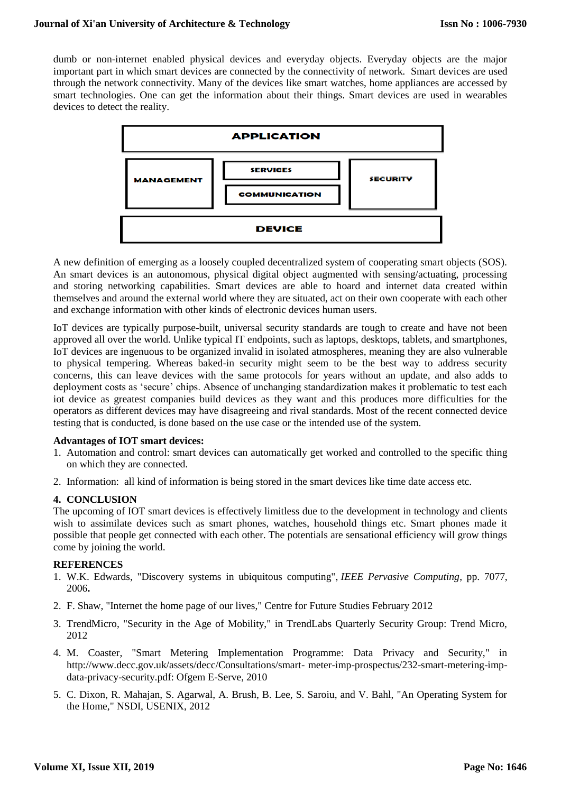dumb or non-internet enabled physical devices and everyday objects. Everyday objects are the major important part in which smart devices are connected by the connectivity of network. Smart devices are used through the network connectivity. Many of the devices like smart watches, home appliances are accessed by smart technologies. One can get the information about their things. Smart devices are used in wearables devices to detect the reality.



A new definition of emerging as a loosely coupled decentralized system of cooperating smart objects (SOS). An smart devices is an autonomous, physical digital object augmented with sensing/actuating, processing and storing networking capabilities. Smart devices are able to hoard and internet data created within themselves and around the external world where they are situated, act on their own cooperate with each other and exchange information with other kinds of electronic devices human users.

IoT devices are typically purpose-built, universal security standards are tough to create and have not been approved all over the world. Unlike typical IT endpoints, such as laptops, desktops, tablets, and smartphones, IoT devices are ingenuous to be organized invalid in isolated atmospheres, meaning they are also vulnerable to physical tempering. Whereas baked-in security might seem to be the best way to address security concerns, this can leave devices with the same protocols for years without an update, and also adds to deployment costs as 'secure' chips. Absence of unchanging standardization makes it problematic to test each iot device as greatest companies build devices as they want and this produces more difficulties for the operators as different devices may have disagreeing and rival standards. Most of the recent connected device testing that is conducted, is done based on the use case or the intended use of the system.

### **Advantages of IOT smart devices:**

- 1. Automation and control: smart devices can automatically get worked and controlled to the specific thing on which they are connected.
- 2. Information: all kind of information is being stored in the smart devices like time date access etc.

### **4. CONCLUSION**

The upcoming of IOT smart devices is effectively limitless due to the development in technology and clients wish to assimilate devices such as smart phones, watches, household things etc. Smart phones made it possible that people get connected with each other. The potentials are sensational efficiency will grow things come by joining the world.

#### **REFERENCES**

- 1. W.K. Edwards, "Discovery systems in ubiquitous computing", *IEEE Pervasive Computing*, pp. 7077, 2006**.**
- 2. F. Shaw, "Internet the home page of our lives," Centre for Future Studies February 2012
- 3. TrendMicro, "Security in the Age of Mobility," in TrendLabs Quarterly Security Group: Trend Micro, 2012
- 4. M. Coaster, "Smart Metering Implementation Programme: Data Privacy and Security," in http://www.decc.gov.uk/assets/decc/Consultations/smart- meter-imp-prospectus/232-smart-metering-impdata-privacy-security.pdf: Ofgem E-Serve, 2010
- 5. C. Dixon, R. Mahajan, S. Agarwal, A. Brush, B. Lee, S. Saroiu, and V. Bahl, "An Operating System for the Home," NSDI, USENIX, 2012